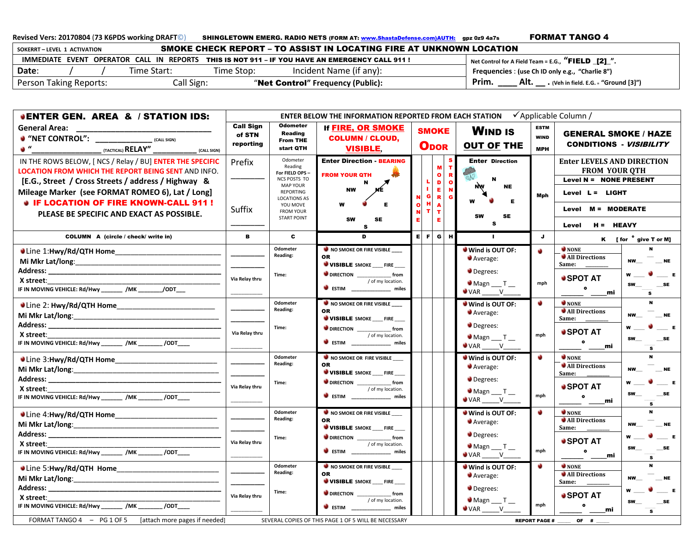**Revised Vers: 20170804** (**73 K6PDS working DRAFT**©)) SHINGLETOWN EMERG. RADIO NETS (FORM AT: <u>www.ShastaDefense.com)AUTH:</u> gpz 0z9 4a7s **SOKERRT – LEVEL 1 ACTIVATIONIMMEDIATE EVENT OPERATOR CALL IN REPORTS THIS IS NOT 911 – IF YOU HAVE AN EMERGENCY CALL 911 !** Net Control for A Field Team = SMOKE CHECK REPORT – TO ASSIST IN LOCATING FIRE AT UNKNOWN LOCATION **Date:** / / Time Start: Time Stop: Incident Name (if any): Person Taking Reports: Call Sign: **= E.G., "**FIELD \_[2]\_**". Frequencies** : **(use Ch ID only e.g., e.g., "Charlie 8")Prim.** \_\_\_\_ Time Stop: "Net Control" Frequency (Public): FORMAT TANGO 4**\_\_ . (Veh in field. E.G. <sup>=</sup> "Ground [3]")**

| <b>•ENTER GEN. AREA &amp; / STATION IDS:</b>                                                                                                            |                                         |                                                                 | ENTER BELOW THE INFORMATION REPORTED FROM EACH STATION $\checkmark$ Applicable Column /                                                                          |                          |                    |                                                                                               |                                                                                        |                                          |                                                                                           |                                                                                                                           |
|---------------------------------------------------------------------------------------------------------------------------------------------------------|-----------------------------------------|-----------------------------------------------------------------|------------------------------------------------------------------------------------------------------------------------------------------------------------------|--------------------------|--------------------|-----------------------------------------------------------------------------------------------|----------------------------------------------------------------------------------------|------------------------------------------|-------------------------------------------------------------------------------------------|---------------------------------------------------------------------------------------------------------------------------|
| <b>General Area:</b><br>• "NET CONTROL": __________________ (CALL SIGN)<br>●"<br><sup>(TACTICAL)</sup> RELAY" _<br>(CALL SIGN)                          | <b>Call Sign</b><br>of STN<br>reporting | <b>Odometer</b><br>Reading<br><b>From THE</b><br>start QTH      | <b>If FIRE, OR SMOKE</b><br><b>COLUMN / CLOUD,</b><br><b>VISIBLE,</b>                                                                                            |                          | <b>ODOR</b>        | <b>SMOKE</b>                                                                                  | <b>WIND IS</b><br><b>OUT OF THE</b>                                                    | <b>ESTM</b><br><b>WIND</b><br><b>MPH</b> | <b>GENERAL SMOKE / HAZE</b><br><b>CONDITIONS - VISIBILITY</b>                             |                                                                                                                           |
| IN THE ROWS BELOW, [ NCS / Relay / BU] ENTER THE SPECIFIC<br><b>LOCATION FROM WHICH THE REPORT BEING SENT AND INFO.</b>                                 | Prefix                                  | Odometer<br>Reading<br>For FIELD OPS-<br>NCS POSTS TO           | <b>Enter Direction - BEARING</b><br><b>FROM YOUR QTH</b>                                                                                                         |                          |                    | s<br>$\mathbf{T}$<br>M<br>$\bullet$<br>$\mathbf{R}$                                           | <b>Enter Direction</b><br>D.<br>$\mathbf{N}$                                           |                                          | <b>Enter LEVELS AND DIRECTION</b><br><b>FROM YOUR QTH</b>                                 |                                                                                                                           |
| [E.G., Street / Cross Streets / address / Highway &<br>Mileage Marker (see FORMAT ROMEO 6), Lat / Long]<br><b>• IF LOCATION OF FIRE KNOWN-CALL 911!</b> |                                         | <b>MAP YOUR</b><br>REPORTING<br><b>LOCATIONS AS</b><br>YOU MOVE | <b>NW</b><br>МÉ<br>Е                                                                                                                                             | $\mathbf N$<br>$\bullet$ | L,<br>T,<br>G<br>н | $\mathbf{D}$<br>$\bullet$<br>$\mathbf N$<br>$\mathbf{E}$<br>$\mathbf{R}$<br>G<br>$\mathbf{A}$ | $\sum_{\mathbf{y} \mathbf{y}}$<br><b>NE</b><br>W<br>E                                  | <b>Mph</b>                               | Level N = NONE PRESENT<br>Level L = LIGHT                                                 |                                                                                                                           |
| PLEASE BE SPECIFIC AND EXACT AS POSSIBLE.                                                                                                               | Suffix                                  | <b>FROM YOUR</b><br><b>START POINT</b>                          | <b>SW</b><br><b>SE</b><br>s                                                                                                                                      | N<br>E.                  | т                  | $\mathbf T$<br>Е.                                                                             | <b>SE</b><br><b>SW</b><br>s                                                            |                                          | Level M = MODERATE<br>Level H = HEAVY                                                     |                                                                                                                           |
| COLUMN A (circle / check/ write in)                                                                                                                     | в                                       | $\mathbf{c}$                                                    | $\overline{D}$                                                                                                                                                   |                          | EFF                | G<br>H                                                                                        | $\mathbf{L}$                                                                           | $\mathbf{J}$ .                           |                                                                                           | K [for ° give T or M]                                                                                                     |
| <b>X</b> street:<br>IF IN MOVING VEHICLE: Rd/Hwy _______ /MK _______/ODT___                                                                             | Via Relay thru                          | Odometer<br>Reading:<br>Time:                                   | NO SMOKE OR FIRE VISIBLE<br>OR.<br>VISIBLE SMOKE ____ FIRE ____<br>/ of my location.<br>ESTIM ________________ miles                                             |                          |                    |                                                                                               | Wind is OUT OF:<br>Average:<br>Degrees:<br>$\blacksquare$ Magn ___ T __<br>$VAR$ V     | mph                                      | $\bullet$ NONE<br>All Directions<br>Same: $\_\_$<br>● SPOT AT<br>$\bullet$<br>_   _____mi | $\mathbf{N}$ $\mathbf{N}$ $\mathbf{N}$ $\mathbf{E}$<br>$w = 0$ $E$<br>$\mathbf{s}$                                        |
| X street:<br>IF IN MOVING VEHICLE: Rd/Hwy ________ /MK ________ /ODT____                                                                                | Via Relay thru                          | Odometer<br>Reading:<br>Time:                                   | NO SMOKE OR FIRE VISIBLE<br>OR<br>VISIBLE SMOKE ____ FIRE ____<br><b>U</b> ESTIM __________________ miles                                                        |                          |                    |                                                                                               | Wind is OUT OF:<br>Average:<br>Degrees:<br>$\blacksquare$ Magn ___ T __<br>$VAR$ V     | ÷<br>mph                                 | NONE<br>All Directions<br>Same:<br>● SPOT AT                                              | $\mathbf{N}$ w $\mathbf{N}$ $\mathbf{N}$ $\mathbf{N}$ $\mathbf{E}$<br>$w = 0$ $E$<br>$sw$ SW SE                           |
| X street:<br>IF IN MOVING VEHICLE: Rd/Hwy ________ /MK ________ /ODT____                                                                                | Via Relav thru                          | Odometer<br>Reading:<br>Time:                                   | NO SMOKE OR FIRE VISIBLE<br>OR.<br>VISIBLE SMOKE ____ FIRE ____<br>ESTIM _______________ miles                                                                   |                          |                    |                                                                                               | Wind is OUT OF:<br>Average:<br>Degrees:<br>$\bullet$ Magn $\_\_$ T $\_\_$<br>$VAR$ $V$ | ŵ<br>mph                                 | mi<br>$\bullet$ NONE<br>All Directions<br>Same:<br>● SPOT AT<br>mi                        | $\mathbf{s}$<br>$nw_$ $ nE$<br>$w = 0$ $E$<br>$SW$ SE<br>$\mathbf{s}$                                                     |
| X street:<br>IF IN MOVING VEHICLE: Rd/Hwy ________ /MK ________ /ODT____                                                                                | Via Relay thru                          | Odometer<br>Reading:<br>Time:                                   | NO SMOKE OR FIRE VISIBLE<br>OR<br>VISIBLE SMOKE ____ FIRE ___<br>ESTIM ________________ miles                                                                    |                          |                    |                                                                                               | Wind is OUT OF:<br>Average:<br>Degrees:<br>$\bullet$ Magn $\_\_T$<br>$VAR$ $V$         | e.<br>mph                                | <b>NONE</b><br>All Directions<br>Same:<br>● SPOT AT<br>$\bullet$<br>mi                    | $\mathbf{N}$<br>$nw_{\_\_}$ $ _{\_}$ $ne$<br>$w = 0$ $E$<br>$sw$ $SE$<br>$\overline{\mathbf{s}}$                          |
| X street:<br>IF IN MOVING VEHICLE: Rd/Hwy ________ /MK ________ /ODT____<br>FORMAT TANGO 4 - PG 1 OF 5 [attach more pages if needed]                    | Via Relay thru                          | Odometer<br>Reading:<br>Time:                                   | NO SMOKE OR FIRE VISIBLE<br>OR.<br>VISIBLE SMOKE ____ FIRE ___<br><b>U</b> ESTIM _________________ miles<br>SEVERAL COPIES OF THIS PAGE 1 OF 5 WILL BE NECESSARY |                          |                    |                                                                                               | Wind is OUT OF:<br>Average:<br>Degrees:<br>$\blacksquare$ Magn ___ T __<br>$VAR$ $V$   | ÷<br>mph<br><b>REPORT PAGE #</b>         | NONE<br>All Directions<br>Same: $\qquad \qquad$<br>● SPOT AT<br>$\bullet$<br>mi<br>OF #   | $\mathbf{N}$<br>$\mathbf{N}$ $\mathbf{N}$ $\mathbf{N}$ $\mathbf{E}$<br>$w = 0$ $E$<br>$sw_{--}$<br>$-$ SE<br>$\mathbf{s}$ |
|                                                                                                                                                         |                                         |                                                                 |                                                                                                                                                                  |                          |                    |                                                                                               |                                                                                        |                                          |                                                                                           |                                                                                                                           |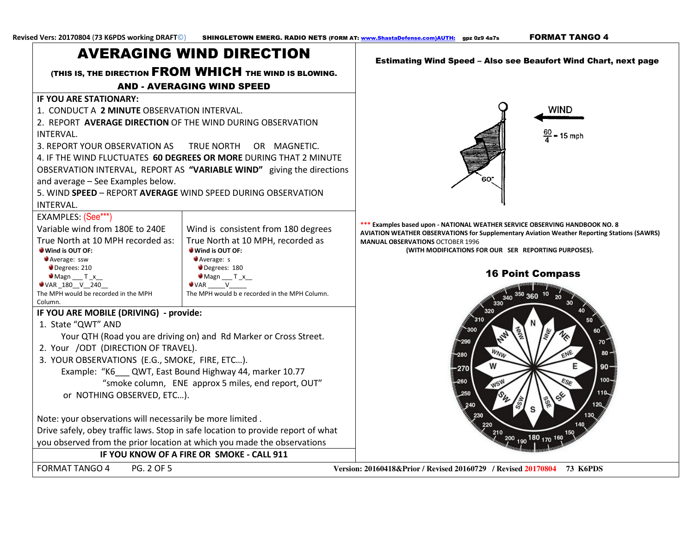# AVERAGING WIND DIRECTION

(THIS IS, THE DIRECTION **FROM WHICH** THE WIND IS BLOWING.

## AND - AVERAGING WIND SPEED

## **IF YOU ARE STATIONARY:**

1. CONDUCT A **2 MINUTE** OBSERVATION INTERVAL.

2. REPORT **AVERAGE DIRECTION** OF THE WIND DURING OBSERVATION INTERVAL.

3. REPORT YOUR OBSERVATION AS TRUE NORTH OR MAGNETIC. 4. IF THE WIND FLUCTUATES **60 DEGREES OR MORE** DURING THAT 2 MINUTE OBSERVATION INTERVAL, REPORT AS **"VARIABLE WIND"** giving the directions and average – See Examples below.

 5. WIND **SPEED** – REPORT **AVERAGE** WIND SPEED DURING OBSERVATION INTERVAL.

EXAMPLES: (See\*\*\*)

| Variable wind from 180E to 240E      | Wind is consistent from 180 degrees           |
|--------------------------------------|-----------------------------------------------|
| True North at 10 MPH recorded as:    | True North at 10 MPH, recorded as             |
| Wind is OUT OF:                      | Wind is OUT OF:                               |
| Average: ssw                         | Average: s                                    |
| Degrees: 210                         | Degrees: 180                                  |
| $\blacksquare$ Magn T x              | $\blacksquare$ Magn T x                       |
| VAR 180 V 240                        | $\bigcup$ VAR                                 |
| The MPH would be recorded in the MPH | The MPH would b e recorded in the MPH Column. |
| Column.                              |                                               |

# **IF YOU ARE MOBILE (DRIVING) - provide:**

1. State "QWT" AND

Your QTH (Road you are driving on) and Rd Marker or Cross Street.

- 2. Your /ODT (DIRECTION OF TRAVEL).
- 3. YOUR OBSERVATIONS (E.G., SMOKE, FIRE, ETC…).

 Example: "K6\_\_\_ QWT, East Bound Highway 44, marker 10.77 "smoke column, ENE approx 5 miles, end report, OUT" or NOTHING OBSERVED, ETC…).

Note: your observations will necessarily be more limited .

Drive safely, obey traffic laws. Stop in safe location to provide report of what you observed from the prior location at which you made the observations

**IF YOU KNOW OF A FIRE OR SMOKE - CALL 911**

FORMAT TANGO 4 PG. 2 OF 5 **Version: 20160418&Prior / Revised 20160729 / Revised 20170804 73 K6PDS**





**\*\*\* Examples based upon - NATIONAL WEATHER SERVICE OBSERVING HANDBOOK NO. 8 AVIATION WEATHER OBSERVATIONS for Supplementary Aviation Weather Reporting Stations (SAWRS) MANUAL OBSERVATIONS** OCTOBER 1996

**(WITH MODIFICATIONS FOR OUR SER REPORTING PURPOSES).** 

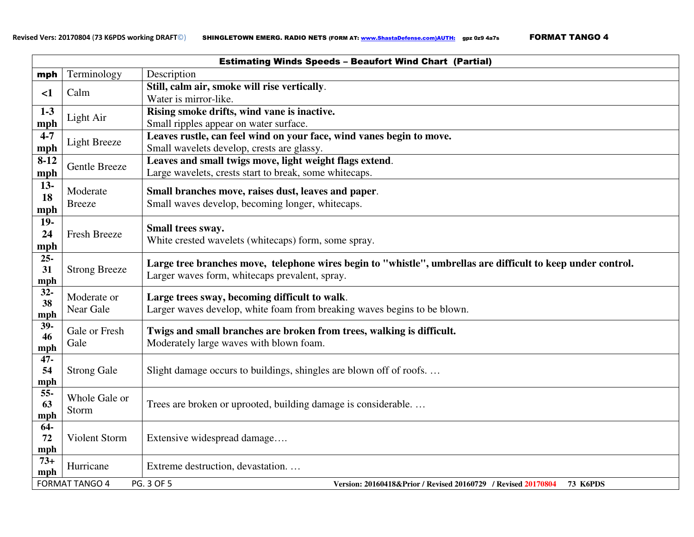|                                                                   | <b>Estimating Winds Speeds - Beaufort Wind Chart (Partial)</b> |                                                                                                              |  |  |  |  |  |
|-------------------------------------------------------------------|----------------------------------------------------------------|--------------------------------------------------------------------------------------------------------------|--|--|--|--|--|
| mph                                                               | Terminology                                                    | Description                                                                                                  |  |  |  |  |  |
| Calm<br>$\leq$ 1                                                  |                                                                | Still, calm air, smoke will rise vertically.                                                                 |  |  |  |  |  |
|                                                                   |                                                                | Water is mirror-like.                                                                                        |  |  |  |  |  |
| Rising smoke drifts, wind vane is inactive.<br>$1-3$<br>Light Air |                                                                |                                                                                                              |  |  |  |  |  |
| mph                                                               |                                                                | Small ripples appear on water surface.                                                                       |  |  |  |  |  |
| $4 - 7$                                                           | <b>Light Breeze</b>                                            | Leaves rustle, can feel wind on your face, wind vanes begin to move.                                         |  |  |  |  |  |
| mph                                                               |                                                                | Small wavelets develop, crests are glassy.                                                                   |  |  |  |  |  |
| $8-12$                                                            | Gentle Breeze                                                  | Leaves and small twigs move, light weight flags extend.                                                      |  |  |  |  |  |
| mph                                                               |                                                                | Large wavelets, crests start to break, some whitecaps.                                                       |  |  |  |  |  |
| $13 -$                                                            | Moderate                                                       | Small branches move, raises dust, leaves and paper.                                                          |  |  |  |  |  |
| 18                                                                | <b>Breeze</b>                                                  | Small waves develop, becoming longer, whitecaps.                                                             |  |  |  |  |  |
| $\mathbf{mph}$                                                    |                                                                |                                                                                                              |  |  |  |  |  |
| $19-$<br>24                                                       | Fresh Breeze                                                   | Small trees sway.                                                                                            |  |  |  |  |  |
| mph                                                               |                                                                | White crested wavelets (whitecaps) form, some spray.                                                         |  |  |  |  |  |
| $25 -$                                                            |                                                                |                                                                                                              |  |  |  |  |  |
| 31                                                                | <b>Strong Breeze</b>                                           | Large tree branches move, telephone wires begin to "whistle", umbrellas are difficult to keep under control. |  |  |  |  |  |
| mph                                                               |                                                                | Larger waves form, whitecaps prevalent, spray.                                                               |  |  |  |  |  |
| $32 -$                                                            | Moderate or                                                    | Large trees sway, becoming difficult to walk.                                                                |  |  |  |  |  |
| 38                                                                | Near Gale                                                      | Larger waves develop, white foam from breaking waves begins to be blown.                                     |  |  |  |  |  |
| mph                                                               |                                                                |                                                                                                              |  |  |  |  |  |
| 39-<br>46                                                         | Gale or Fresh                                                  | Twigs and small branches are broken from trees, walking is difficult.                                        |  |  |  |  |  |
| mph                                                               | Gale                                                           | Moderately large waves with blown foam.                                                                      |  |  |  |  |  |
| $47 -$                                                            |                                                                |                                                                                                              |  |  |  |  |  |
| 54                                                                | <b>Strong Gale</b>                                             | Slight damage occurs to buildings, shingles are blown off of roofs                                           |  |  |  |  |  |
| mph                                                               |                                                                |                                                                                                              |  |  |  |  |  |
| $55 -$                                                            | Whole Gale or                                                  |                                                                                                              |  |  |  |  |  |
| 63<br>mph                                                         | Storm                                                          | Trees are broken or uprooted, building damage is considerable                                                |  |  |  |  |  |
| $64-$                                                             |                                                                |                                                                                                              |  |  |  |  |  |
| 72                                                                | Violent Storm                                                  | Extensive widespread damage                                                                                  |  |  |  |  |  |
| mph                                                               |                                                                |                                                                                                              |  |  |  |  |  |
| $73+$                                                             | Hurricane                                                      | Extreme destruction, devastation                                                                             |  |  |  |  |  |
| mph                                                               |                                                                |                                                                                                              |  |  |  |  |  |
|                                                                   | <b>FORMAT TANGO 4</b>                                          | PG. 3 OF 5<br>Version: 20160418&Prior / Revised 20160729 / Revised 20170804<br><b>73 K6PDS</b>               |  |  |  |  |  |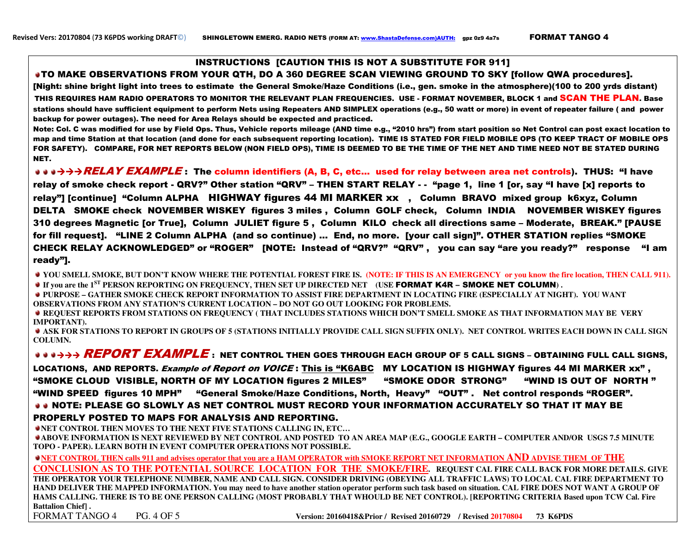## INSTRUCTIONS [CAUTION THIS IS NOT A SUBSTITUTE FOR 911]

#### TO MAKE OBSERVATIONS FROM YOUR QTH, DO A 360 DEGREE SCAN VIEWING GROUND TO SKY [follow QWA procedures].

[Night: shine bright light into trees to estimate the General Smoke/Haze Conditions (i.e., gen. smoke in the atmosphere)(100 to 200 yrds distant)THIS REQUIRES HAM RADIO OPERATORS TO MONITOR THE RELEVANT PLAN FREQUENCIES. USE - FORMAT NOVEMBER, BLOCK 1 and SCAN THE PLAN. Base stations should have sufficient equipment to perform Nets using Repeaters AND SIMPLEX operations (e.g., 50 watt or more) in event of repeater failure ( and power backup for power outages). The need for Area Relays should be expected and practiced.

Note: Col. C was modified for use by Field Ops. Thus, Vehicle reports mileage (AND time e.g., "2010 hrs") from start position so Net Control can post exact location to map and time Station at that location (and done for each subsequent reporting location). TIME IS STATED FOR FIELD MOBILE OPS (TO KEEP TRACT OF MOBILE OPS FOR SAFETY). COMPARE, FOR NET REPORTS BELOW (NON FIELD OPS), TIME IS DEEMED TO BE THE TIME OF THE NET AND TIME NEED NOT BE STATED DURING NET.

---RELAY EXAMPLE : The column identifiers (A, B, C, etc… used for relay between area net controls). THUS: "I have relay of smoke check report - QRV?" Other station "QRV" – THEN START RELAY - - "page 1, line 1 [or, say "I have [x] reports to relay"] [continue] "Column ALPHA HIGHWAY figures 44 MI MARKER xx , Column BRAVO mixed group k6xyz, Column DELTA SMOKE check NOVEMBER WISKEY figures 3 miles , Column GOLF check, Column INDIA NOVEMBER WISKEY figures 310 degrees Magnetic [or True], Column JULIET figure 5 , Column KILO check all directions same – Moderate, BREAK." [PAUSE for fill request]. "LINE 2 Column ALPHA (and so continue) … End, no more. [your call sign]". OTHER STATION replies "SMOKE CHECK RELAY ACKNOWLEDGED" or "ROGER" [NOTE: Instead of "QRV?" "QRV" , you can say "are you ready?" response "I am ready"].

**• YOU SMELL SMOKE, BUT DON'T KNOW WHERE THE POTENTIAL FOREST FIRE IS. (NOTE: IF THIS IS AN EMERGENCY or you know the fire location, THEN CALL 911).** 

**If you are the 1<sup>ST</sup> PERSON REPORTING ON FREQUENCY, THEN SET UP DIRECTED NET (USE FORMAT K4R – SMOKE NET COLUMN).** 

  **PURPOSE – GATHER SMOKE CHECK REPORT INFORMATION TO ASSIST FIRE DEPARTMENT IN LOCATING FIRE (ESPECIALLY AT NIGHT). YOU WANT OBSERVATIONS FROM ANY STATION'S CURRENT LOCATION – DO NOT GO OUT LOOKING FOR PROBLEMS.** 

  **REQUEST REPORTS FROM STATIONS ON FREQUENCY ( THAT INCLUDES STATIONS WHICH DON'T SMELL SMOKE AS THAT INFORMATION MAY BE VERY IMPORTANT).** 

  **ASK FOR STATIONS TO REPORT IN GROUPS OF 5 (STATIONS INITIALLY PROVIDE CALL SIGN SUFFIX ONLY). NET CONTROL WRITES EACH DOWN IN CALL SIGN COLUMN.** 

--- REPORT EXAMPLE : NET CONTROL THEN GOES THROUGH EACH GROUP OF 5 CALL SIGNS – OBTAINING FULL CALL SIGNS, LOCATIONS, AND REPORTS. Example of Report on VOICE: This is "K6ABC MY LOCATION IS HIGHWAY figures 44 MI MARKER xx", "SMOKE CLOUD VISIBLE, NORTH OF MY LOCATION figures 2 MILES" "SMOKE ODOR STRONG" "WIND IS OUT OF NORTH " "WIND SPEED figures 10 MPH" "General Smoke/Haze Conditions, North, Heavy" "OUT" . Net control responds "ROGER". **U NOTE: PLEASE GO SLOWLY AS NET CONTROL MUST RECORD YOUR INFORMATION ACCURATELY SO THAT IT MAY BE** 

## PROPERLY POSTED TO MAPS FOR ANALYSIS AND REPORTING.

**NET CONTROL THEN MOVES TO THE NEXT FIVE STATIONS CALLING IN, ETC…** 

 **ABOVE INFORMATION IS NEXT REVIEWED BY NET CONTROL AND POSTED TO AN AREA MAP (E.G., GOOGLE EARTH – COMPUTER AND/OR USGS 7.5 MINUTE TOPO - PAPER). LEARN BOTH IN EVENT COMPUTER OPERATIONS NOT POSSIBLE.** 

**NET CONTROL THEN calls 911 and advises operator that you are a HAM OPERATOR with SMOKE REPORT NET INFORMATION AND ADVISE THEM OF THE** 

**CONCLUSION AS TO THE POTENTIAL SOURCE LOCATION FOR THE SMOKE/FIRE. REQUEST CAL FIRE CALL BACK FOR MORE DETAILS. GIVE THE OPERATOR YOUR TELEPHONE NUMBER, NAME AND CALL SIGN. CONSIDER DRIVING (OBEYING ALL TRAFFIC LAWS) TO LOCAL CAL FIRE DEPARTMENT TO HAND DELIVER THE MAPPED INFORMATION. You may need to have another station operator perform such task based on situation. CAL FIRE DOES NOT WANT A GROUP OF HAMS CALLING. THERE IS TO BE ONE PERSON CALLING (MOST PROBABLY THAT WHOULD BE NET CONTROL). [REPORTING CRITERIA Based upon TCW Cal. Fire Battalion Chief] .**